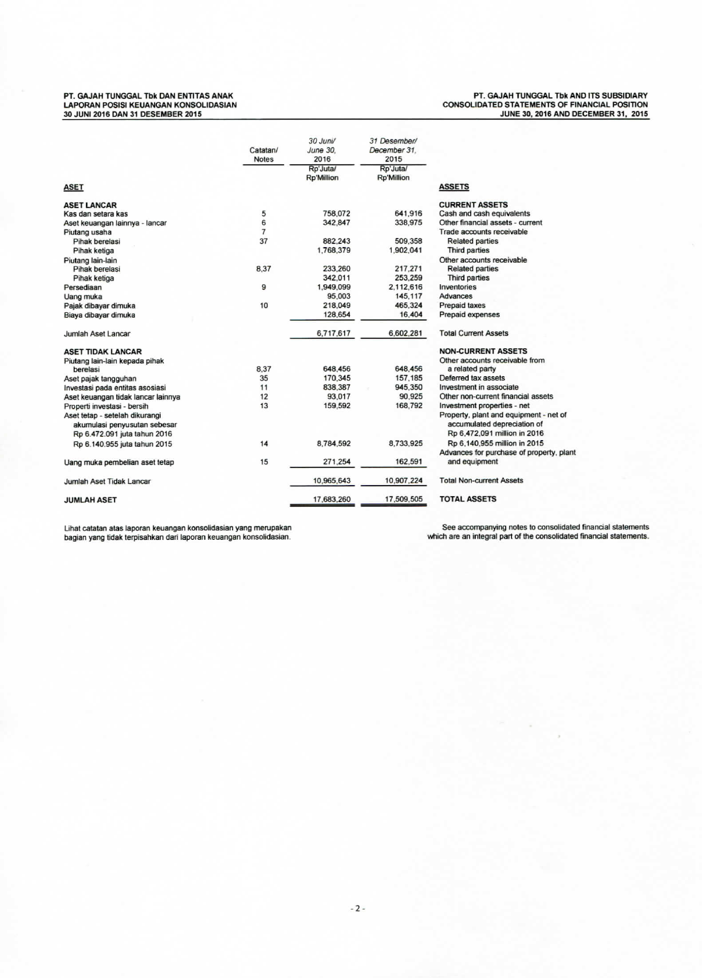## **PT. GAJA H TUNGGA L Tbk DAN ENTITA S ANA K LAPORA N POSISI KEUANGA N KONSOLIDASIA N 30 JUNI 2016 DAN 31 DESEMBE R 2015**

**PT. GAJA H TUNGGA L Tbk AND ITS SUBSIDIAR Y CONSOLIDATE D STATEMENT S O F FINANCIAL POSITION JUN E 30, 2016 AND DECEMBE R 31 , 2015** 

|                                    | Catatan/<br><b>Notes</b> | 30 Juni/<br><b>June 30.</b><br>2016 | 31 Desember/<br>December 31.<br>2015 |                                          |
|------------------------------------|--------------------------|-------------------------------------|--------------------------------------|------------------------------------------|
|                                    |                          | Rp'Juta/<br><b>Rp'Million</b>       | Rp'Juta/<br><b>Rp'Million</b>        |                                          |
| <b>ASET</b>                        |                          |                                     |                                      | <b>ASSETS</b>                            |
| <b>ASET LANCAR</b>                 |                          |                                     |                                      | <b>CURRENT ASSETS</b>                    |
| Kas dan setara kas                 | 5                        | 758,072                             | 641,916                              | Cash and cash equivalents                |
| Aset keuangan lainnya - lancar     | 6                        | 342.847                             | 338,975                              | Other financial assets - current         |
| Piutang usaha                      | $\overline{7}$           |                                     |                                      | Trade accounts receivable                |
| Pihak berelasi                     | 37                       | 882.243                             | 509,358                              | <b>Related parties</b>                   |
| Pihak ketiga                       |                          | 1,768,379                           | 1,902,041                            | Third parties                            |
| Piutang lain-lain                  |                          |                                     |                                      | Other accounts receivable                |
| Pihak berelasi                     | 8.37                     | 233,260                             | 217.271                              | <b>Related parties</b>                   |
| Pihak ketiga                       |                          | 342.011                             | 253.259                              | Third parties                            |
| Persediaan                         | 9                        | 1.949.099                           | 2.112.616                            | Inventories                              |
| Uang muka                          |                          | 95,003                              | 145,117                              | Advances                                 |
| Pajak dibayar dimuka               | 10                       | 218,049                             | 465,324                              | <b>Prepaid taxes</b>                     |
| Biaya dibayar dimuka               |                          | 128,654                             | 16,404                               | Prepaid expenses                         |
| Jumlah Aset Lancar                 |                          | 6,717,617                           | 6,602,281                            | <b>Total Current Assets</b>              |
| <b>ASET TIDAK LANCAR</b>           |                          |                                     |                                      | <b>NON-CURRENT ASSETS</b>                |
| Piutang lain-lain kepada pihak     |                          |                                     |                                      | Other accounts receivable from           |
| berelasi                           | 8.37                     | 648,456                             | 648,456                              | a related party                          |
| Aset pajak tangguhan               | 35                       | 170,345                             | 157,185                              | Deferred tax assets                      |
| Investasi pada entitas asosiasi    | 11                       | 838.387                             | 945.350                              | Investment in associate                  |
| Aset keuangan tidak lancar lainnya | 12                       | 93,017                              | 90.925                               | Other non-current financial assets       |
| Properti investasi - bersih        | 13                       | 159,592                             | 168.792                              | Investment properties - net              |
| Aset tetap - setelah dikurangi     |                          |                                     |                                      | Property, plant and equipment - net of   |
| akumulasi penyusutan sebesar       |                          |                                     |                                      | accumulated depreciation of              |
| Rp 6.472.091 juta tahun 2016       |                          |                                     |                                      | Rp 6,472,091 million in 2016             |
| Rp 6.140.955 juta tahun 2015       | 14                       | 8,784,592                           | 8,733,925                            | Rp 6,140,955 million in 2015             |
|                                    |                          |                                     |                                      | Advances for purchase of property, plant |
| Uang muka pembelian aset tetap     | 15                       | 271,254                             | 162,591                              | and equipment                            |
| Jumlah Aset Tidak Lancar           |                          | 10,965,643                          | 10,907.224                           | <b>Total Non-current Assets</b>          |
| <b>JUMLAH ASET</b>                 |                          | 17,683,260                          | 17,509,505                           | <b>TOTAL ASSETS</b>                      |

**Lihal Catalan atas laporan keuangan konsolidasian yang merupakan bagian yang tidak terpisahkan dari laporan keuangan konsolidasian.** 

See accompanying notes to consolidated financial statements<br>which are an integral part of the consolidated financial statements.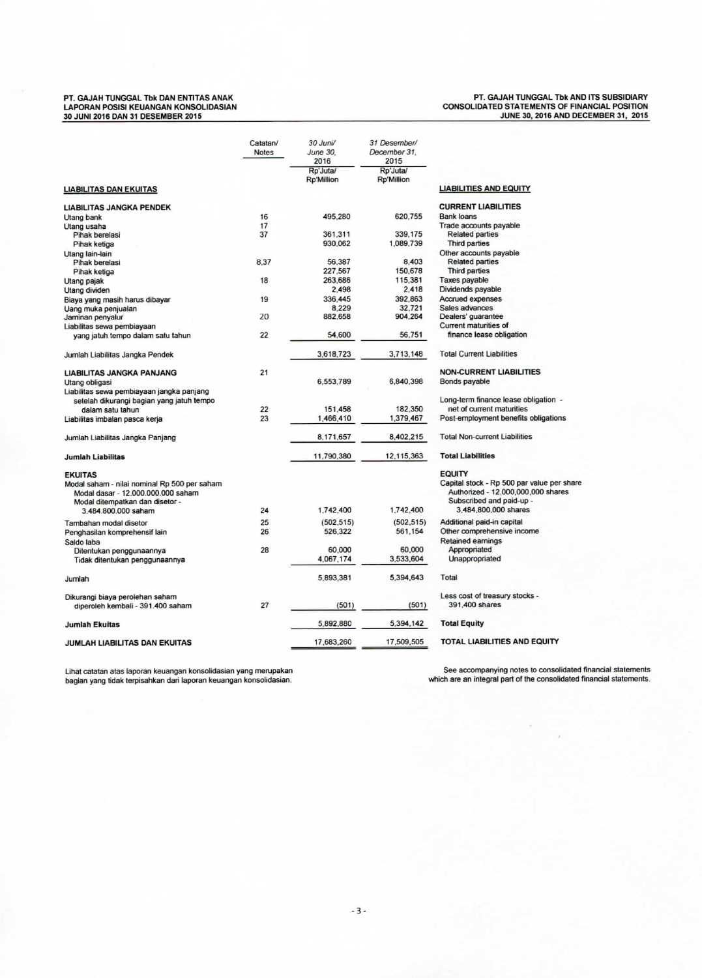## **PT. GAJA H TUNGGA L Tbk DAN ENTITA S ANA K LAPORA N POSISI KEUANGA N KONSOLIDASIA N 30 JUNI 2016 DAN 31 DESEMBE R 2015**

## **PT. GAJA H TUNGGA L Tbk AND ITS SUBSIDIAR Y CONSOLIDATE D STATEMENT S O F FINANCIAL POSITION JUN E 30, 2016 AND DECEMBE R 31 , 2015**

|                                                             | Catatan/     | 30 Juni/                      | 31 Desember/                  |                                            |
|-------------------------------------------------------------|--------------|-------------------------------|-------------------------------|--------------------------------------------|
|                                                             | <b>Notes</b> | June 30.<br>2016              | December 31.<br>2015          |                                            |
|                                                             |              | Rp'Juta/<br><b>Rp'Million</b> | Rp'Juta/<br><b>Rp'Million</b> |                                            |
| LIABILITAS DAN EKUITAS                                      |              |                               |                               | <b>LIABILITIES AND EQUITY</b>              |
| <b>LIABILITAS JANGKA PENDEK</b>                             |              |                               |                               | <b>CURRENT LIABILITIES</b>                 |
| Utang bank                                                  | 16           | 495,280                       | 620,755                       | <b>Bank loans</b>                          |
| Utang usaha                                                 | 17           |                               |                               | Trade accounts payable                     |
| Pihak berelasi                                              | 37           | 361.311                       | 339.175                       | <b>Related parties</b>                     |
| Pihak ketiga                                                |              | 930.062                       | 1.089.739                     | Third parties                              |
| Utang lain-lain                                             |              |                               |                               | Other accounts payable                     |
| Pihak berelasi                                              | 8.37         | 56,387                        | 8.403                         | <b>Related parties</b>                     |
| Pihak ketiga                                                |              | 227,567                       | 150.678                       | Third parties                              |
| Utang pajak                                                 | 18           | 263,686                       | 115,381                       | Taxes payable                              |
| Utang dividen                                               |              | 2.498                         | 2.418                         | Dividends payable                          |
| Biaya yang masih harus dibayar                              | 19           | 336,445                       | 392.863                       | Accrued expenses                           |
| Uang muka penjualan                                         |              | 8.229                         | 32.721                        | Sales advances                             |
| Jaminan penyalur                                            | 20           | 882,658                       | 904.264                       | Dealers' guarantee                         |
| Liabilitas sewa pembiayaan                                  |              |                               |                               | <b>Current maturities of</b>               |
| yang jatuh tempo dalam satu tahun                           | 22           | 54.600                        | 56,751                        | finance lease obligation                   |
| Jumlah Liabilitas Jangka Pendek                             |              | 3,618,723                     | 3,713,148                     | <b>Total Current Liabilities</b>           |
| <b>LIABILITAS JANGKA PANJANG</b>                            | 21           |                               |                               | <b>NON-CURRENT LIABILITIES</b>             |
|                                                             |              | 6,553,789                     | 6,840,398                     | Bonds payable                              |
| Utang obligasi<br>Liabilitas sewa pembiayaan jangka panjang |              |                               |                               |                                            |
|                                                             |              |                               |                               | Long-term finance lease obligation -       |
| setelah dikurangi bagian yang jatuh tempo                   | 22           | 151,458                       | 182.350                       | net of current maturities                  |
| dalam satu tahun                                            | 23           |                               |                               |                                            |
| Liabilitas imbalan pasca kerja                              |              | 1,466,410                     | 1,379,467                     | Post-employment benefits obligations       |
| Jumlah Liabilitas Jangka Panjang                            |              | 8,171,657                     | 8,402,215                     | <b>Total Non-current Liabilities</b>       |
| <b>Jumlah Liabilitas</b>                                    |              | 11,790,380                    | 12,115,363                    | <b>Total Liabilities</b>                   |
| <b>EKUITAS</b>                                              |              |                               |                               | <b>EQUITY</b>                              |
| Modal saham - nilai nominal Rp 500 per saham                |              |                               |                               | Capital stock - Rp 500 par value per share |
| Modal dasar - 12.000.000.000 saham                          |              |                               |                               | Authorized - 12,000,000,000 shares         |
| Modal ditempatkan dan disetor -                             |              |                               |                               | Subscribed and paid-up -                   |
| 3.484.800.000 saham                                         | 24           | 1,742,400                     | 1,742,400                     | 3,484,800,000 shares                       |
| Tambahan modal disetor                                      | 25           | (502.515)                     | (502, 515)                    | Additional paid-in capital                 |
| Penghasilan komprehensif lain                               | 26           | 526,322                       | 561,154                       | Other comprehensive income                 |
| Saldo laba                                                  |              |                               |                               | <b>Retained earnings</b>                   |
| Ditentukan penggunaannya                                    | 28           | 60,000                        | 60,000                        | Appropriated                               |
| Tidak ditentukan penggunaannya                              |              | 4,067,174                     | 3,533,604                     | Unappropriated                             |
|                                                             |              |                               |                               |                                            |
| Jumlah                                                      |              | 5,893,381                     | 5,394,643                     | Total                                      |
| Dikurangi biaya perolehan saham                             |              |                               |                               | Less cost of treasury stocks -             |
| diperoleh kembali - 391.400 saham                           | 27           | (501)                         | (501)                         | 391,400 shares                             |
| <b>Jumlah Ekuitas</b>                                       |              | 5.892.880                     | 5,394,142                     | <b>Total Equity</b>                        |
| JUMLAH LIABILITAS DAN EKUITAS                               |              | 17,683,260                    | 17,509,505                    | TOTAL LIABILITIES AND EQUITY               |
|                                                             |              |                               |                               |                                            |

Lihat Catalan atas laporan keuangan konsolidasian yang mempaka n Se e accompanying notes to consolidated financial statements bagian yang tidak terpisahkan dari laporan keuangan konsolidasian. **which** are a n integral pari of the consolidated financial statements.